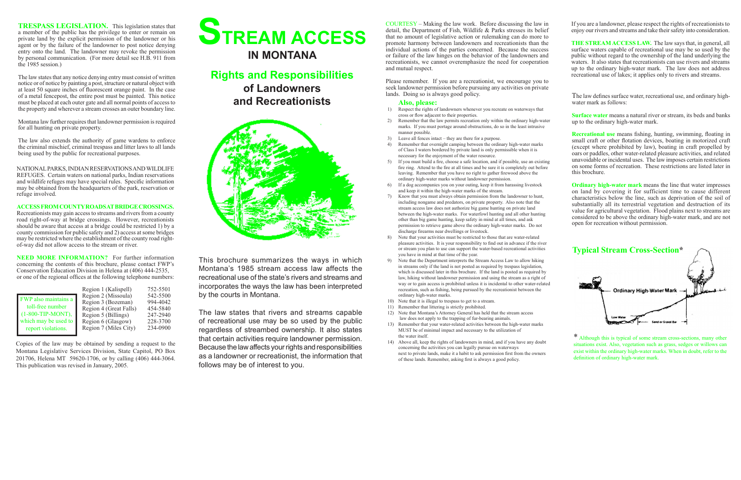# **STREAM ACCESS IN MONTANA**

**Rights and Responsibilities of Landowners and Recreationists**



This brochure summarizes the ways in which Montana's 1985 stream access law affects the recreational use of the state's rivers and streams and incorporates the ways the law has been interpreted by the courts in Montana.

The law states that rivers and streams capable of recreational use may be so used by the public regardless of streambed ownership. It also states that certain activities require landowner permission. Because the law affects your rights and responsibilities as a landowner or recreationist, the information that follows may be of interest to you.

**TRESPASS LEGISLATION.** This legislation states that a member of the public has the privilege to enter or remain on private land by the explicit permission of the landowner or his agent or by the failure of the landowner to post notice denying entry onto the land. The landowner may revoke the permission by personal communication. (For more detail see H.B. 911 from the 1985 session.)

The law states that any notice denying entry must consist of written notice or of notice by painting a post, structure or natural object with at least 50 square inches of fluorescent orange paint. In the case of a metal fencepost, the entire post must be painted. This notice must be placed at each outer gate and all normal points of access to the property and wherever a stream crosses an outer boundary line.

**NEED MORE INFORMATION?** For further information concerning the contents of this brochure, please contact FWP's Conservation Education Division in Helena at (406) 444-2535, or one of the regional offices at the following telephone numbers:

Montana law further requires that landowner permission is required for all hunting on private property.

The law also extends the authority of game wardens to enforce the criminal mischief, criminal trespass and litter laws to all lands being used by the public for recreational purposes.

NATIONAL PARKS, INDIAN RESERVATIONS ANDWILDLIFE REFUGES. Certain waters on national parks, Indian reservations and wildlife refuges may have special rules. Specific information may be obtained from the headquarters of the park, reservation or refuge involved.

#### **ACCESS FROM COUNTY ROADS AT BRIDGE CROSSINGS.**

Recreationists may gain access to streams and rivers from a county road right-of-way at bridge crossings. However, recreationists should be aware that access at a bridge could be restricted 1) by a county commission for public safety and 2) access at some bridges may be restricted where the establishment of the county road rightof-way did not allow access to the stream or river.

#### **Also, please:**

- 1) Respect the rights of landowners whenever you recreate on waterways that cross or flow adjacent to their properties.
- 2) Remember that the law permits recreation only within the ordinary high-water marks. If you must portage around obstructions, do so in the least intrusive manner possible.
- 3) Leave all fences intact they are there for a purpose.
- Remember that overnight camping between the ordinary high-water marks of Class I waters bordered by private land is only permissible when it is necessary for the enjoyment of the water resource.
- 5) If you must build a fire, choose a safe location, and if possible, use an existing fire ring. Attend to the fire at all times and be sure it is completely out before leaving. Remember that you have no right to gather firewood above the ordinary high-water marks without landowner permission.
- 6) If a dog accompanies you on your outing, keep it from harassing livestock and keep it within the high-water marks of the stream.
- 7) Know that you must always obtain permission from the landowner to hunt, including nongame and predators, on private property. Also note that the stream access law does not authorize big game hunting on private land between the high-water marks. For waterfowl hunting and all other hunting other than big game hunting, keep safety in mind at all times, and ask permission to retrieve game above the ordinary high-water marks. Do not discharge firearms near dwellings or livestock.
- 8) Note that your activities must be restricted to those that are water-related pleasure activities. It is your responsibility to find out in advance if the river or stream you plan to use can support the water-based recreational activities you have in mind at that time of the year.
- 9) Note that the Department interprets the Stream Access Law to allow hiking in streams only if the land is not posted as required by trespass legislation, which is discussed later in this brochure. If the land is posted as required by law, hiking without landowner permission and using the stream as a right of way or to gain access is prohibited unless it is incidental to other water-related recreation, such as fishing, being pursued by the recreationist between the ordinary high-water marks.
- 10) Note that it is illegal to trespass to get to a stream.
- 11) Remember that littering is strictly prohibited.
- 12) Note that Montana's Attorney General has held that the stream access law does not apply to the trapping of fur-bearing animals.
- 13) Remember that your water-related activities between the high-water marks MUST be of minimal impact and necessary to the utilization of the water itself.
- 14) Above all, keep the rights of landowners in mind, and if you have any doubt concerning the activities you can legally pursue on waterways next to private lands, make it a habit to ask permission first from the owners of these lands. Remember, asking first is always a good policy.

|                      | Region 1 (Kalispell)   | 752-5501 |
|----------------------|------------------------|----------|
| FWP also maintains a | Region 2 (Missoula)    | 542-5500 |
|                      | Region 3 (Bozeman)     | 994-4042 |
| toll-free number     | Region 4 (Great Falls) | 454-5840 |
| $(1-800-TIP-MONT)$ , | Region 5 (Billings)    | 247-2940 |
| which may be used to | Region 6 (Glasgow)     | 228-3700 |
| report violations.   | Region 7 (Miles City)  | 234-0900 |

If you are a landowner, please respect the rights of recreationists to enjoy our rivers and streams and take their safety into consideration.

**THE STREAM ACCESS LAW.** The law says that, in general, all surface waters capable of recreational use may be so used by the public without regard to the ownership of the land underlying the waters. It also states that recreationists can use rivers and streams up to the ordinary high-water mark. The law does not address recreational use of lakes; it applies only to rivers and streams.

The law defines surface water, recreational use, and ordinary highwater mark as follows:

**Surface water** means a natural river or stream, its beds and banks up to the ordinary high-water mark.

**Recreational use** means fishing, hunting, swimming, floating in small craft or other flotation devices, boating in motorized craft (except where prohibited by law), boating in craft propelled by oars or paddles, other water-related pleasure activities, and related unavoidable or incidental uses. The law imposes certain restrictions on some forms of recreation. These restrictions are listed later in this brochure.

**Ordinary high-water mark** means the line that water impresses on land by covering it for sufficient time to cause different characteristics below the line, such as deprivation of the soil of substantially all its terrestrial vegetation and destruction of its value for agricultural vegetation. Flood plains next to streams are considered to be above the ordinary high-water mark, and are not open for recreation without permission.

\* Although this is typical of some stream cross-sections, many other situations exist. Also, vegetation such as grass, sedges or willows can exist within the ordinary high-water marks. When in doubt, refer to the definition of ordinary high-water mark.

COURTESY – Making the law work. Before discussing the law in detail, the Department of Fish, Wildlife & Parks stresses its belief that no amount of legislative action or rulemaking can do more to promote harmony between landowners and recreationists than the individual actions of the parties concerned. Because the success or failure of the law hinges on the behavior of the landowners and recreationists, we cannot overemphasize the need for cooperation and mutual respect.

Please remember. If you are a recreationist, we encourage you to seek landowner permission before pursuing any activities on private lands. Doing so is always good policy.

Copies of the law may be obtained by sending a request to the Montana Legislative Services Division, State Capitol, PO Box 201706, Helena MT 59620-1706, or by calling (406) 444-3064. This publication was revised in January, 2005.